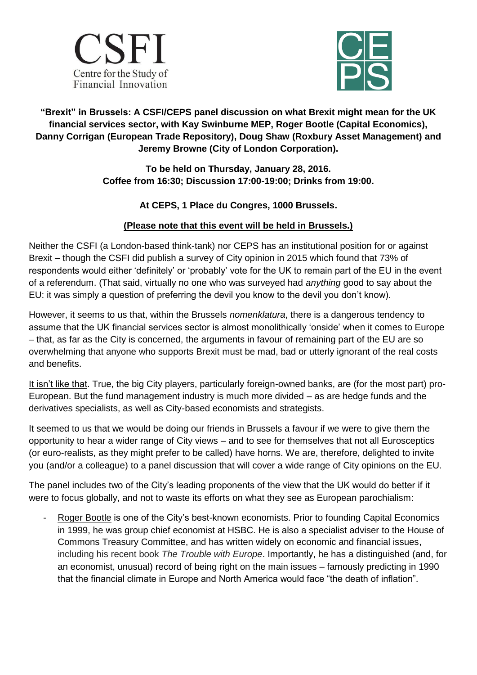



## **"Brexit" in Brussels: A CSFI/CEPS panel discussion on what Brexit might mean for the UK financial services sector, with Kay Swinburne MEP, Roger Bootle (Capital Economics), Danny Corrigan (European Trade Repository), Doug Shaw (Roxbury Asset Management) and Jeremy Browne (City of London Corporation).**

**To be held on Thursday, January 28, 2016. Coffee from 16:30; Discussion 17:00-19:00; Drinks from 19:00.**

## **At CEPS, 1 Place du Congres, 1000 Brussels.**

## **(Please note that this event will be held in Brussels.)**

Neither the CSFI (a London-based think-tank) nor CEPS has an institutional position for or against Brexit – though the CSFI did publish a survey of City opinion in 2015 which found that 73% of respondents would either "definitely" or "probably" vote for the UK to remain part of the EU in the event of a referendum. (That said, virtually no one who was surveyed had *anything* good to say about the EU: it was simply a question of preferring the devil you know to the devil you don"t know).

However, it seems to us that, within the Brussels *nomenklatura*, there is a dangerous tendency to assume that the UK financial services sector is almost monolithically "onside" when it comes to Europe – that, as far as the City is concerned, the arguments in favour of remaining part of the EU are so overwhelming that anyone who supports Brexit must be mad, bad or utterly ignorant of the real costs and benefits.

It isn't like that. True, the big City players, particularly foreign-owned banks, are (for the most part) pro-European. But the fund management industry is much more divided – as are hedge funds and the derivatives specialists, as well as City-based economists and strategists.

It seemed to us that we would be doing our friends in Brussels a favour if we were to give them the opportunity to hear a wider range of City views – and to see for themselves that not all Eurosceptics (or euro-realists, as they might prefer to be called) have horns. We are, therefore, delighted to invite you (and/or a colleague) to a panel discussion that will cover a wide range of City opinions on the EU.

The panel includes two of the City"s leading proponents of the view that the UK would do better if it were to focus globally, and not to waste its efforts on what they see as European parochialism:

Roger Bootle is one of the City's best-known economists. Prior to founding Capital Economics in 1999, he was group chief economist at HSBC. He is also a specialist adviser to the House of Commons Treasury Committee, and has written widely on economic and financial issues, including his recent book *The Trouble with Europe*. Importantly, he has a distinguished (and, for an economist, unusual) record of being right on the main issues – famously predicting in 1990 that the financial climate in Europe and North America would face "the death of inflation".